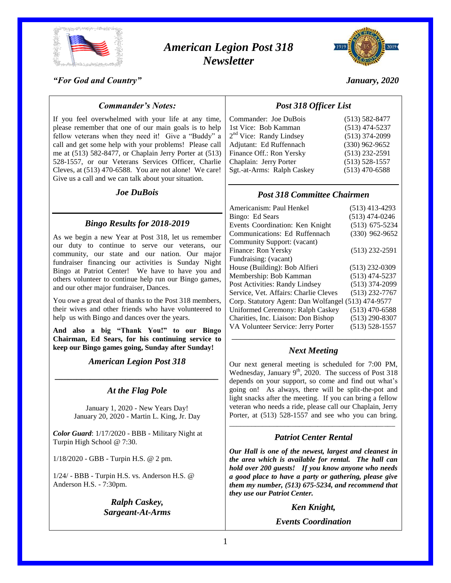

# *American Legion Post 318 Newsletter*



### *"For God and Country"*

## *January, 2020*

### *Commander's Notes:*

If you feel overwhelmed with your life at any time, please remember that one of our main goals is to help fellow veterans when they need it! Give a "Buddy" a call and get some help with your problems! Please call me at (513) 582-8477, or Chaplain Jerry Porter at (513) 528-1557, or our Veterans Services Officer, Charlie Cleves, at (513) 470-6588. You are not alone! We care! Give us a call and we can talk about your situation.

#### *Joe DuBois*

## *Bingo Results for 2018-2019*

As we begin a new Year at Post 318, let us remember our duty to continue to serve our veterans, our community, our state and our nation. Our major fundraiser financing our activities is Sunday Night Bingo at Patriot Center! We have to have you and others volunteer to continue help run our Bingo games, and our other major fundraiser, Dances.

You owe a great deal of thanks to the Post 318 members, their wives and other friends who have volunteered to help us with Bingo and dances over the years.

**And also a big "Thank You!" to our Bingo Chairman, Ed Sears, for his continuing service to keep our Bingo games going, Sunday after Sunday!**

*American Legion Post 318*

# *\_\_\_\_\_\_\_\_\_\_\_\_\_\_\_\_\_\_\_\_\_\_\_\_\_\_\_\_\_\_\_\_\_\_\_\_\_ At the Flag Pole*

January 1, 2020 - New Years Day! January 20, 2020 - Martin L. King, Jr. Day

*Color Guard*: 1/17/2020 - BBB - Military Night at Turpin High School @ 7:30.

1/18/2020 - GBB - Turpin H.S. @ 2 pm.

1/24/ - BBB - Turpin H.S. vs. Anderson H.S. @ Anderson H.S. - 7:30pm.

## *Ralph Caskey, Sargeant-At-Arms*

## *Post 318 Officer List*

| Commander: Joe DuBois               | $(513) 582 - 8477$ |
|-------------------------------------|--------------------|
|                                     |                    |
| 1st Vice: Bob Kamman                | $(513)$ 474-5237   |
| 2 <sup>nd</sup> Vice: Randy Lindsey | $(513)$ 374-2099   |
| Adjutant: Ed Ruffennach             | $(330)$ 962-9652   |
| Finance Off.: Ron Yersky            | $(513)$ 232-2591   |
| Chaplain: Jerry Porter              | $(513) 528 - 1557$ |
| Sgt.-at-Arms: Ralph Caskey          | $(513)$ 470-6588   |
|                                     |                    |

## *Post 318 Committee Chairmen*

| Americanism: Paul Henkel                            | $(513)$ 413-4293   |
|-----------------------------------------------------|--------------------|
|                                                     |                    |
| Bingo: Ed Sears                                     | $(513)$ 474-0246   |
| Events Coordination: Ken Knight                     | $(513)$ 675-5234   |
| Communications: Ed Ruffennach                       | $(330)$ 962-9652   |
| Community Support: (vacant)                         |                    |
| Finance: Ron Yersky                                 | $(513)$ 232-2591   |
| Fundraising: (vacant)                               |                    |
| House (Building): Bob Alfieri                       | $(513)$ 232-0309   |
| Membership: Bob Kamman                              | $(513)$ 474-5237   |
| Post Activities: Randy Lindsey                      | $(513)$ 374-2099   |
| Service, Vet. Affairs: Charlie Cleves               | $(513)$ 232-7767   |
| Corp. Statutory Agent: Dan Wolfangel (513) 474-9577 |                    |
| Uniformed Ceremony: Ralph Caskey                    | $(513)$ 470-6588   |
| Charities, Inc. Liaison: Don Bishop                 | $(513)$ 290-8307   |
| VA Volunteer Service: Jerry Porter                  | $(513) 528 - 1557$ |
|                                                     |                    |

## *Next Meeting*

Our next general meeting is scheduled for 7:00 PM, Wednesday, January  $9<sup>th</sup>$ , 2020. The success of Post 318 depends on your support, so come and find out what's going on! As always, there will be split-the-pot and light snacks after the meeting. If you can bring a fellow veteran who needs a ride, please call our Chaplain, Jerry Porter, at (513) 528-1557 and see who you can bring.

## \_\_\_\_\_\_\_\_\_\_\_\_\_\_\_\_\_\_\_\_\_\_\_\_\_\_\_\_\_\_\_\_\_\_\_\_\_\_\_\_\_\_\_\_\_ *Patriot Center Rental*

*Our Hall is one of the newest, largest and cleanest in the area which is available for rental. The hall can hold over 200 guests! If you know anyone who needs a good place to have a party or gathering, please give them my number, (513) 675-5234, and recommend that they use our Patriot Center.*

*Ken Knight,*

*Events Coordination*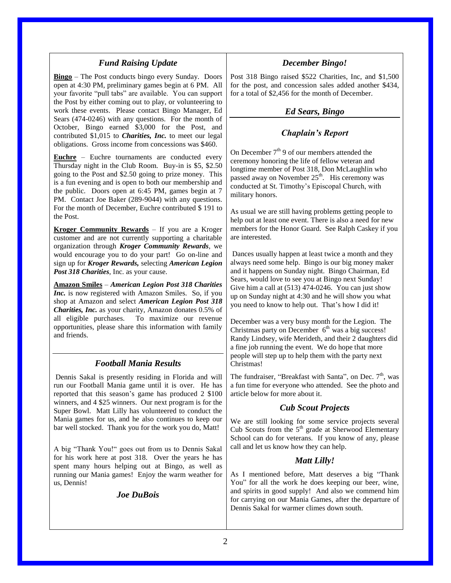## *Fund Raising Update*

**Bingo** – The Post conducts bingo every Sunday. Doors open at 4:30 PM, preliminary games begin at 6 PM. All your favorite "pull tabs" are available. You can support the Post by either coming out to play, or volunteering to work these events. Please contact Bingo Manager, Ed Sears (474-0246) with any questions. For the month of October, Bingo earned \$3,000 for the Post, and contributed \$1,015 to *Charities, Inc.* to meet our legal obligations. Gross income from concessions was \$460.

**Euchre** – Euchre tournaments are conducted every Thursday night in the Club Room. Buy-in is \$5, \$2.50 going to the Post and \$2.50 going to prize money. This is a fun evening and is open to both our membership and the public. Doors open at 6:45 PM, games begin at 7 PM. Contact Joe Baker (289-9044) with any questions. For the month of December, Euchre contributed \$ 191 to the Post.

**Kroger Community Rewards** – If you are a Kroger customer and are not currently supporting a charitable organization through *Kroger Community Rewards*, we would encourage you to do your part! Go on-line and sign up for *Kroger Rewards,* selecting *American Legion Post 318 Charities*, Inc. as your cause.

**Amazon Smiles** – *American Legion Post 318 Charities Inc.* is now registered with Amazon Smiles. So, if you shop at Amazon and select *American Legion Post 318 Charities, Inc.* as your charity, Amazon donates 0.5% of all eligible purchases. To maximize our revenue opportunities, please share this information with family and friends.

## *Football Mania Results*

Dennis Sakal is presently residing in Florida and will run our Football Mania game until it is over. He has reported that this season's game has produced 2 \$100 winners, and 4 \$25 winners. Our next program is for the Super Bowl. Matt Lilly has volunteered to conduct the Mania games for us, and he also continues to keep our bar well stocked. Thank you for the work you do, Matt!

A big "Thank You!" goes out from us to Dennis Sakal for his work here at post 318. Over the years he has spent many hours helping out at Bingo, as well as running our Mania games! Enjoy the warm weather for us, Dennis!

*Joe DuBois*

## *December Bingo!*

Post 318 Bingo raised \$522 Charities, Inc, and \$1,500 for the post, and concession sales added another \$434, for a total of \$2,456 for the month of December.

## *Ed Sears, Bingo*

## *Chaplain's Report*

On December  $7<sup>th</sup>$  9 of our members attended the ceremony honoring the life of fellow veteran and longtime member of Post 318, Don McLaughlin who passed away on November  $25<sup>th</sup>$ . His ceremony was conducted at St. Timothy's Episcopal Church, with military honors.

As usual we are still having problems getting people to help out at least one event. There is also a need for new members for the Honor Guard. See Ralph Caskey if you are interested.

Dances usually happen at least twice a month and they always need some help. Bingo is our big money maker and it happens on Sunday night. Bingo Chairman, Ed Sears, would love to see you at Bingo next Sunday! Give him a call at (513) 474-0246. You can just show up on Sunday night at 4:30 and he will show you what you need to know to help out. That's how I did it!

December was a very busy month for the Legion. The Christmas party on December  $6<sup>th</sup>$  was a big success! Randy Lindsey, wife Merideth, and their 2 daughters did a fine job running the event. We do hope that more people will step up to help them with the party next Christmas!

The fundraiser, "Breakfast with Santa", on Dec.  $7<sup>th</sup>$ , was a fun time for everyone who attended. See the photo and article below for more about it.

## *Cub Scout Projects*

We are still looking for some service projects several Cub Scouts from the  $5<sup>th</sup>$  grade at Sherwood Elementary School can do for veterans. If you know of any, please call and let us know how they can help.

## *Matt Lilly!*

As I mentioned before, Matt deserves a big "Thank You" for all the work he does keeping our beer, wine, and spirits in good supply! And also we commend him for carrying on our Mania Games, after the departure of Dennis Sakal for warmer climes down south.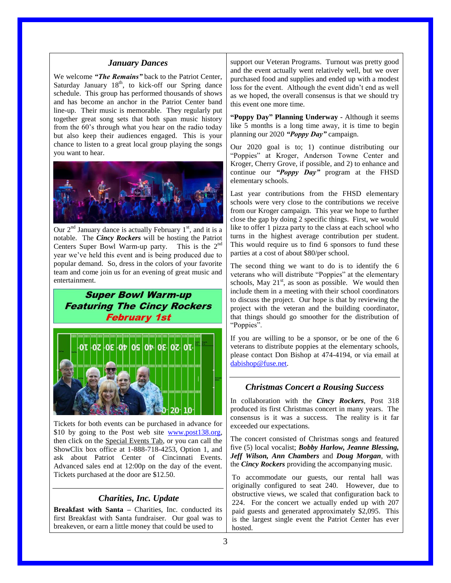#### *January Dances*

We welcome *"The Remains"* back to the Patriot Center, Saturday January 18<sup>th</sup>, to kick-off our Spring dance schedule. This group has performed thousands of shows and has become an anchor in the Patriot Center band line-up. Their music is memorable. They regularly put together great song sets that both span music history from the 60's through what you hear on the radio today but also keep their audiences engaged. This is your chance to listen to a great local group playing the songs you want to hear.



Our  $2<sup>nd</sup>$  January dance is actually February 1<sup>st</sup>, and it is a notable. The *Cincy Rockers* will be hosting the Patriot Centers Super Bowl Warm-up party. This is the 2nd year we've held this event and is being produced due to popular demand. So, dress in the colors of your favorite team and come join us for an evening of great music and entertainment.

## **Super Bowl Warm-up Featuring The Cincy Rockers February 1st**



Tickets for both events can be purchased in advance for \$10 by going to the Post web site www.post138.org, then click on the Special Events Tab, or you can call the ShowClix box office at 1-888-718-4253, Option 1, and ask about Patriot Center of Cincinnati Events. Advanced sales end at 12:00p on the day of the event. Tickets purchased at the door are \$12.50.

#### *Charities, Inc. Update*

**Breakfast with Santa –** Charities, Inc. conducted its first Breakfast with Santa fundraiser. Our goal was to breakeven, or earn a little money that could be used to

support our Veteran Programs. Turnout was pretty good and the event actually went relatively well, but we over purchased food and supplies and ended up with a modest loss for the event. Although the event didn't end as well as we hoped, the overall consensus is that we should try this event one more time.

**"Poppy Day" Planning Underway -** Although it seems like 5 months is a long time away, it is time to begin planning our 2020 *"Poppy Day"* campaign.

Our 2020 goal is to; 1) continue distributing our "Poppies" at Kroger, Anderson Towne Center and Kroger, Cherry Grove, if possible, and 2) to enhance and continue our *"Poppy Day"* program at the FHSD elementary schools.

Last year contributions from the FHSD elementary schools were very close to the contributions we receive from our Kroger campaign. This year we hope to further close the gap by doing 2 specific things. First, we would like to offer 1 pizza party to the class at each school who turns in the highest average contribution per student. This would require us to find 6 sponsors to fund these parties at a cost of about \$80/per school.

The second thing we want to do is to identify the 6 veterans who will distribute "Poppies" at the elementary schools, May  $21<sup>st</sup>$ , as soon as possible. We would then include them in a meeting with their school coordinators to discuss the project. Our hope is that by reviewing the project with the veteran and the building coordinator, that things should go smoother for the distribution of "Poppies".

If you are willing to be a sponsor, or be one of the 6 veterans to distribute poppies at the elementary schools, please contact Don Bishop at 474-4194, or via email at [dabishop@fuse.net.](mailto:dabishop@fuse.net)

#### *Christmas Concert a Rousing Success*

In collaboration with the *Cincy Rockers*, Post 318 produced its first Christmas concert in many years. The consensus is it was a success. The reality is it far exceeded our expectations.

The concert consisted of Christmas songs and featured five (5) local vocalist; *Bobby Harlow, Jeanne Blessing, Jeff Wilson, Ann Chambers* and *Doug Morgan*, with the *Cincy Rockers* providing the accompanying music.

To accommodate our guests, our rental hall was originally configured to seat 240. However, due to obstructive views, we scaled that configuration back to 224. For the concert we actually ended up with 207 paid guests and generated approximately \$2,095. This is the largest single event the Patriot Center has ever hosted.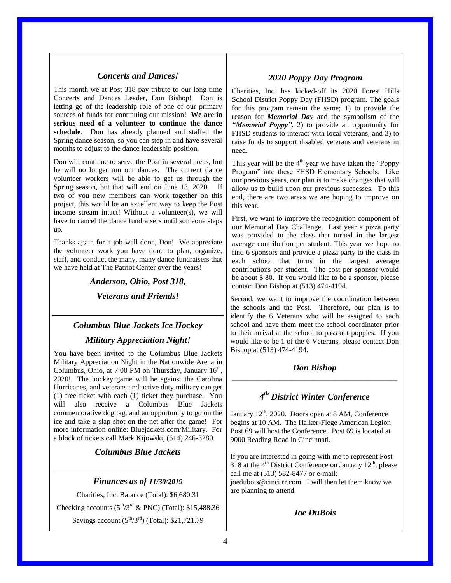#### *Concerts and Dances!*

This month we at Post 318 pay tribute to our long time Concerts and Dances Leader, Don Bishop! Don is letting go of the leadership role of one of our primary sources of funds for continuing our mission! **We are in serious need of a volunteer to continue the dance schedule**. Don has already planned and staffed the Spring dance season, so you can step in and have several months to adjust to the dance leadership position.

Don will continue to serve the Post in several areas, but he will no longer run our dances. The current dance volunteer workers will be able to get us through the Spring season, but that will end on June 13, 2020. If two of you new members can work together on this project, this would be an excellent way to keep the Post income stream intact! Without a volunteer(s), we will have to cancel the dance fundraisers until someone steps up.

Thanks again for a job well done, Don! We appreciate the volunteer work you have done to plan, organize, staff, and conduct the many, many dance fundraisers that we have held at The Patriot Center over the years!

#### *Anderson, Ohio, Post 318,*

*Veterans and Friends!*

# *Columbus Blue Jackets Ice Hockey Military Appreciation Night!*

You have been invited to the Columbus Blue Jackets Military Appreciation Night in the Nationwide Arena in Columbus, Ohio, at  $7:00$  PM on Thursday, January  $16<sup>th</sup>$ , 2020! The hockey game will be against the Carolina Hurricanes, and veterans and active duty military can get (1) free ticket with each (1) ticket they purchase. You will also receive a Columbus Blue Jackets commemorative dog tag, and an opportunity to go on the ice and take a slap shot on the net after the game! For more information online: Bluejackets.com/Military. For a block of tickets call Mark Kijowski, (614) 246-3280.

#### *Columbus Blue Jackets*

\_\_\_\_\_\_\_\_\_\_\_\_\_\_\_\_\_\_\_\_\_\_\_\_\_\_\_\_\_\_\_\_\_\_\_\_\_\_

## *Finances as of 11/30/2019*

Charities, Inc. Balance (Total): \$6,680.31 Checking accounts  $(5<sup>th</sup>/3<sup>rd</sup> \& PNC)$  (Total): \$15,488.36 Savings account  $(5<sup>th</sup>/3<sup>rd</sup>)$  (Total): \$21,721.79

#### *2020 Poppy Day Program*

Charities, Inc. has kicked-off its 2020 Forest Hills School District Poppy Day (FHSD) program. The goals for this program remain the same; 1) to provide the reason for *Memorial Day* and the symbolism of the *"Memorial Poppy",* 2) to provide an opportunity for FHSD students to interact with local veterans, and 3) to raise funds to support disabled veterans and veterans in need.

This year will be the 4<sup>th</sup> year we have taken the "Poppy Program" into these FHSD Elementary Schools. Like our previous years, our plan is to make changes that will allow us to build upon our previous successes. To this end, there are two areas we are hoping to improve on this year.

First, we want to improve the recognition component of our Memorial Day Challenge. Last year a pizza party was provided to the class that turned in the largest average contribution per student. This year we hope to find 6 sponsors and provide a pizza party to the class in each school that turns in the largest average contributions per student. The cost per sponsor would be about \$ 80. If you would like to be a sponsor, please contact Don Bishop at (513) 474-4194.

Second, we want to improve the coordination between the schools and the Post. Therefore, our plan is to identify the 6 Veterans who will be assigned to each school and have them meet the school coordinator prior to their arrival at the school to pass out poppies. If you would like to be 1 of the 6 Veterans, please contact Don Bishop at (513) 474-4194.

#### *Don Bishop* \_\_\_\_\_\_\_\_\_\_\_\_\_\_\_\_\_\_\_\_\_\_\_\_\_\_\_\_\_\_\_\_\_\_\_\_\_\_\_\_\_\_\_\_\_

## *4 th District Winter Conference*

January 12<sup>th</sup>, 2020. Doors open at 8 AM, Conference begins at 10 AM. The Halker-Flege American Legion Post 69 will host the Conference. Post 69 is located at 9000 Reading Road in Cincinnati.

If you are interested in going with me to represent Post 318 at the  $4<sup>th</sup>$  District Conference on January 12<sup>th</sup>, please call me at (513) 582-8477 or e-mail: joedubois@cinci.rr.com I will then let them know we are planning to attend.

*Joe DuBois*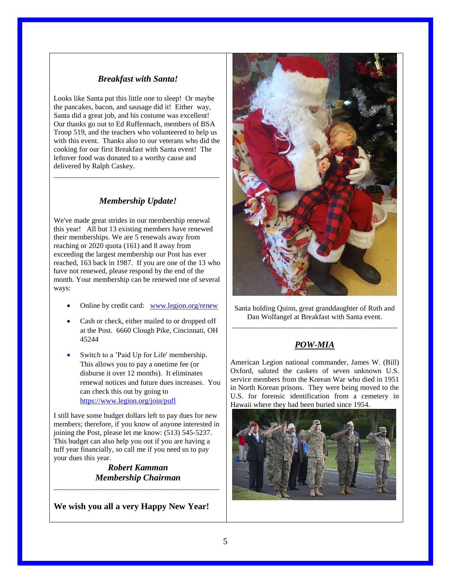### *Breakfast with Santa!*

Looks like Santa put this little one to sleep! Or maybe the pancakes, bacon, and sausage did it! Either way, Santa did a great job, and his costume was excellent! Our thanks go out to Ed Ruffennach, members of BSA Troop 519, and the teachers who volunteered to help us with this event. Thanks also to our veterans who did the cooking for our first Breakfast with Santa event! The leftover food was donated to a worthy cause and delivered by Ralph Caskey.

### *Membership Update!*

\_\_\_\_\_\_\_\_\_\_\_\_\_\_\_\_\_\_\_\_\_\_\_\_\_\_\_\_\_\_\_\_\_\_\_\_\_\_\_\_\_\_\_\_\_

We've made great strides in our membership renewal this year! All but 13 existing members have renewed their memberships. We are 5 renewals away from reaching or 2020 quota (161) and 8 away from exceeding the largest membership our Post has ever reached, 163 back in 1987. If you are one of the 13 who have not renewed, please respond by the end of the month. Your membership can be renewed one of several ways:

- Online by credit card: [www.legion.org/renew](http://www.legion.org/renew)
- Cash or check, either mailed to or dropped off at the Post. 6660 Clough Pike, Cincinnati, OH 45244
- Switch to a 'Paid Up for Life' membership. This allows you to pay a onetime fee (or disburse it over 12 months). It eliminates renewal notices and future dues increases. You can check this out by going to <https://www.legion.org/join/pufl>

I still have some budget dollars left to pay dues for new members; therefore, if you know of anyone interested in joining the Post, please let me know: (513) 545-5237. This budget can also help you out if you are having a tuff year financially, so call me if you need us to pay your dues this year.

*Robert Kamman Membership Chairman* \_\_\_\_\_\_\_\_\_\_\_\_\_\_\_\_\_\_\_\_\_\_\_\_\_\_\_\_\_\_\_\_\_\_\_\_\_\_\_\_\_\_\_\_\_

**We wish you all a very Happy New Year!**



Santa holding Quinn, great granddaughter of Ruth and Dan Wolfangel at Breakfast with Santa event. \_\_\_\_\_\_\_\_\_\_\_\_\_\_\_\_\_\_\_\_\_\_\_\_\_\_\_\_\_\_\_\_\_\_\_\_\_\_\_\_\_\_\_\_\_

#### *POW-MIA*

American Legion national commander, James W. (Bill) Oxford, saluted the caskets of seven unknown U.S. service members from the Korean War who died in 1951 in North Korean prisons. They were being moved to the U.S. for forensic identification from a cemetery in Hawaii where they had been buried since 1954.